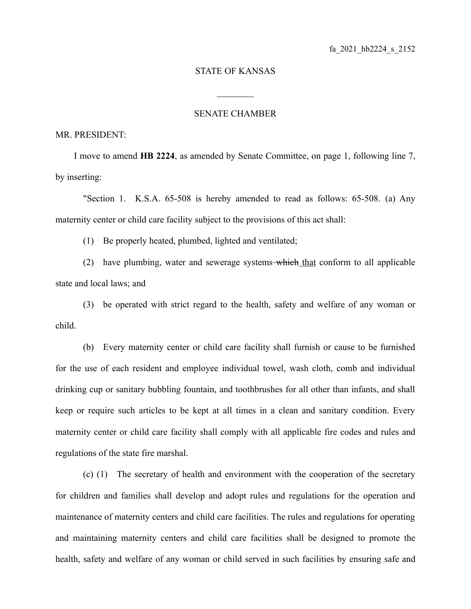## STATE OF KANSAS

 $\mathcal{L}_\text{max}$ 

## SENATE CHAMBER

## MR. PRESIDENT:

I move to amend **HB 2224**, as amended by Senate Committee, on page 1, following line 7, by inserting:

"Section 1. K.S.A. 65-508 is hereby amended to read as follows: 65-508. (a) Any maternity center or child care facility subject to the provisions of this act shall:

(1) Be properly heated, plumbed, lighted and ventilated;

(2) have plumbing, water and sewerage systems which that conform to all applicable state and local laws; and

(3) be operated with strict regard to the health, safety and welfare of any woman or child.

(b) Every maternity center or child care facility shall furnish or cause to be furnished for the use of each resident and employee individual towel, wash cloth, comb and individual drinking cup or sanitary bubbling fountain, and toothbrushes for all other than infants, and shall keep or require such articles to be kept at all times in a clean and sanitary condition. Every maternity center or child care facility shall comply with all applicable fire codes and rules and regulations of the state fire marshal.

(c) (1) The secretary of health and environment with the cooperation of the secretary for children and families shall develop and adopt rules and regulations for the operation and maintenance of maternity centers and child care facilities. The rules and regulations for operating and maintaining maternity centers and child care facilities shall be designed to promote the health, safety and welfare of any woman or child served in such facilities by ensuring safe and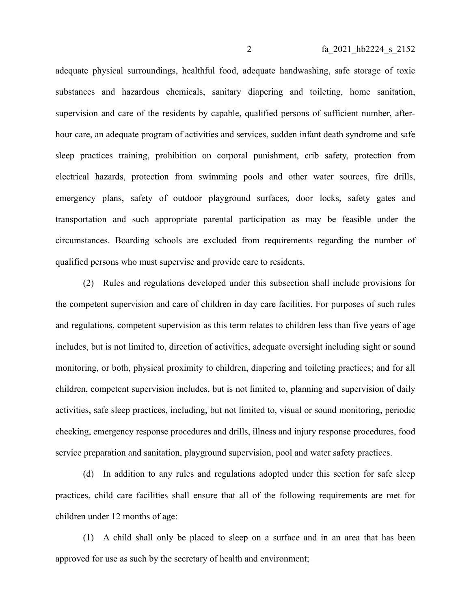adequate physical surroundings, healthful food, adequate handwashing, safe storage of toxic substances and hazardous chemicals, sanitary diapering and toileting, home sanitation, supervision and care of the residents by capable, qualified persons of sufficient number, afterhour care, an adequate program of activities and services, sudden infant death syndrome and safe sleep practices training, prohibition on corporal punishment, crib safety, protection from electrical hazards, protection from swimming pools and other water sources, fire drills, emergency plans, safety of outdoor playground surfaces, door locks, safety gates and transportation and such appropriate parental participation as may be feasible under the circumstances. Boarding schools are excluded from requirements regarding the number of qualified persons who must supervise and provide care to residents.

(2) Rules and regulations developed under this subsection shall include provisions for the competent supervision and care of children in day care facilities. For purposes of such rules and regulations, competent supervision as this term relates to children less than five years of age includes, but is not limited to, direction of activities, adequate oversight including sight or sound monitoring, or both, physical proximity to children, diapering and toileting practices; and for all children, competent supervision includes, but is not limited to, planning and supervision of daily activities, safe sleep practices, including, but not limited to, visual or sound monitoring, periodic checking, emergency response procedures and drills, illness and injury response procedures, food service preparation and sanitation, playground supervision, pool and water safety practices.

(d) In addition to any rules and regulations adopted under this section for safe sleep practices, child care facilities shall ensure that all of the following requirements are met for children under 12 months of age:

(1) A child shall only be placed to sleep on a surface and in an area that has been approved for use as such by the secretary of health and environment;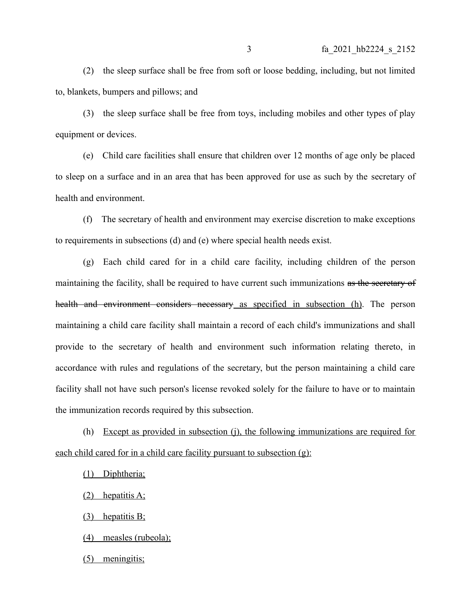(2) the sleep surface shall be free from soft or loose bedding, including, but not limited to, blankets, bumpers and pillows; and

(3) the sleep surface shall be free from toys, including mobiles and other types of play equipment or devices.

(e) Child care facilities shall ensure that children over 12 months of age only be placed to sleep on a surface and in an area that has been approved for use as such by the secretary of health and environment.

(f) The secretary of health and environment may exercise discretion to make exceptions to requirements in subsections (d) and (e) where special health needs exist.

(g) Each child cared for in a child care facility, including children of the person maintaining the facility, shall be required to have current such immunizations as the secretary of health and environment considers necessary as specified in subsection (h). The person maintaining a child care facility shall maintain a record of each child's immunizations and shall provide to the secretary of health and environment such information relating thereto, in accordance with rules and regulations of the secretary, but the person maintaining a child care facility shall not have such person's license revoked solely for the failure to have or to maintain the immunization records required by this subsection.

(h) Except as provided in subsection (j), the following immunizations are required for each child cared for in a child care facility pursuant to subsection (g):

(1) Diphtheria;

(2) hepatitis A;

(3) hepatitis B;

(4) measles (rubeola);

(5) meningitis;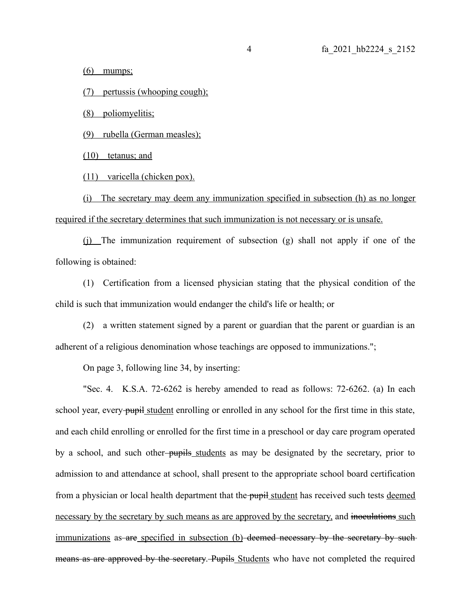$(6)$  mumps;

(7) pertussis (whooping cough);

(8) poliomyelitis;

(9) rubella (German measles);

(10) tetanus; and

(11) varicella (chicken pox).

(i) The secretary may deem any immunization specified in subsection (h) as no longer required if the secretary determines that such immunization is not necessary or is unsafe.

(j) The immunization requirement of subsection (g) shall not apply if one of the following is obtained:

(1) Certification from a licensed physician stating that the physical condition of the child is such that immunization would endanger the child's life or health; or

(2) a written statement signed by a parent or guardian that the parent or guardian is an adherent of a religious denomination whose teachings are opposed to immunizations.";

On page 3, following line 34, by inserting:

"Sec. 4. K.S.A. 72-6262 is hereby amended to read as follows: 72-6262. (a) In each school year, every pupil student enrolling or enrolled in any school for the first time in this state, and each child enrolling or enrolled for the first time in a preschool or day care program operated by a school, and such other-pupils students as may be designated by the secretary, prior to admission to and attendance at school, shall present to the appropriate school board certification from a physician or local health department that the pupil student has received such tests deemed necessary by the secretary by such means as are approved by the secretary, and inoculations such immunizations as are specified in subsection (b) deemed necessary by the secretary by suchmeans as are approved by the secretary. Pupils Students who have not completed the required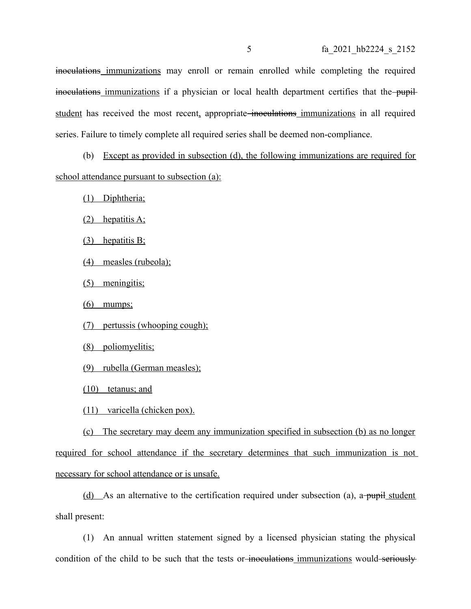inoculations immunizations may enroll or remain enrolled while completing the required inoculations immunizations if a physician or local health department certifies that the-pupilstudent has received the most recent, appropriate inoculations immunizations in all required series. Failure to timely complete all required series shall be deemed non-compliance.

(b) Except as provided in subsection (d), the following immunizations are required for school attendance pursuant to subsection (a):

(1) Diphtheria;

(2) hepatitis A;

(3) hepatitis B;

(4) measles (rubeola);

(5) meningitis;

 $(6)$  mumps;

(7) pertussis (whooping cough);

(8) poliomyelitis;

(9) rubella (German measles);

(10) tetanus; and

(11) varicella (chicken pox).

(c) The secretary may deem any immunization specified in subsection (b) as no longer required for school attendance if the secretary determines that such immunization is not necessary for school attendance or is unsafe.

(d) As an alternative to the certification required under subsection (a), a pupil student shall present:

(1) An annual written statement signed by a licensed physician stating the physical condition of the child to be such that the tests or inoculations immunizations would seriously